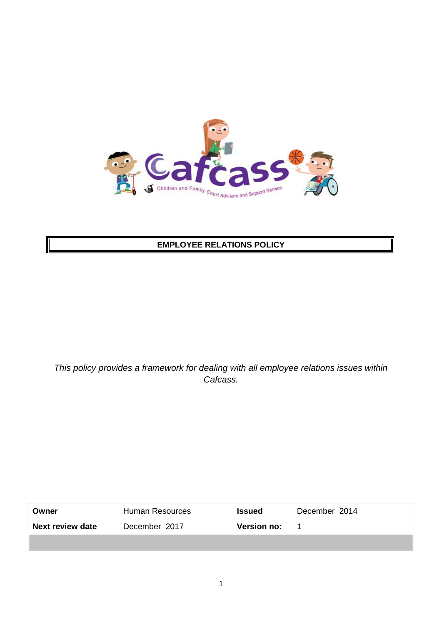

## **EMPLOYEE RELATIONS POLICY**

*This policy provides a framework for dealing with all employee relations issues within Cafcass.*

| Owner            | Human Resources | <b>Issued</b>      | December 2014 |
|------------------|-----------------|--------------------|---------------|
| Next review date | December 2017   | <b>Version no:</b> |               |
|                  |                 |                    |               |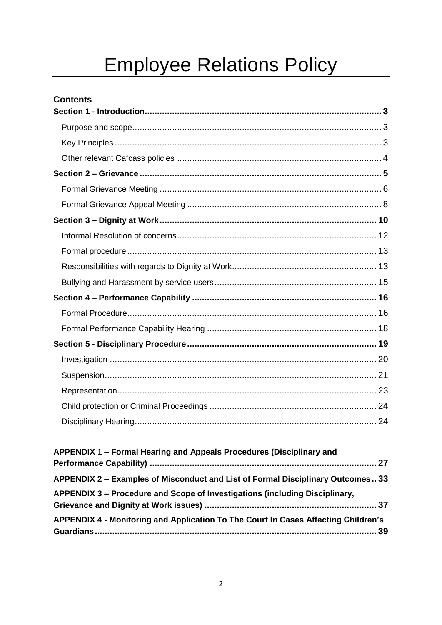# **Employee Relations Policy**

## **Contents**

| APPENDIX 1 – Formal Hearing and Appeals Procedures (Disciplinary and               |
|------------------------------------------------------------------------------------|
| APPENDIX 2 - Examples of Misconduct and List of Formal Disciplinary Outcomes 33    |
| APPENDIX 3 – Procedure and Scope of Investigations (including Disciplinary,        |
| APPENDIX 4 - Monitoring and Application To The Court In Cases Affecting Children's |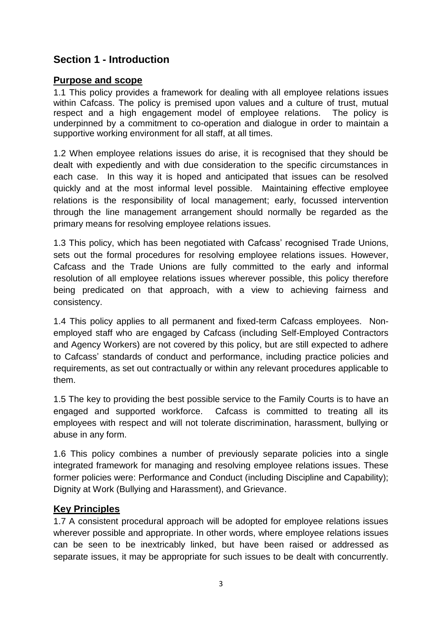## <span id="page-2-0"></span>**Section 1 - Introduction**

#### <span id="page-2-1"></span>**Purpose and scope**

1.1 This policy provides a framework for dealing with all employee relations issues within Cafcass. The policy is premised upon values and a culture of trust, mutual respect and a high engagement model of employee relations. The policy is underpinned by a commitment to co-operation and dialogue in order to maintain a supportive working environment for all staff, at all times.

1.2 When employee relations issues do arise, it is recognised that they should be dealt with expediently and with due consideration to the specific circumstances in each case. In this way it is hoped and anticipated that issues can be resolved quickly and at the most informal level possible. Maintaining effective employee relations is the responsibility of local management; early, focussed intervention through the line management arrangement should normally be regarded as the primary means for resolving employee relations issues.

1.3 This policy, which has been negotiated with Cafcass' recognised Trade Unions, sets out the formal procedures for resolving employee relations issues. However, Cafcass and the Trade Unions are fully committed to the early and informal resolution of all employee relations issues wherever possible, this policy therefore being predicated on that approach, with a view to achieving fairness and consistency.

1.4 This policy applies to all permanent and fixed-term Cafcass employees. Nonemployed staff who are engaged by Cafcass (including Self-Employed Contractors and Agency Workers) are not covered by this policy, but are still expected to adhere to Cafcass' standards of conduct and performance, including practice policies and requirements, as set out contractually or within any relevant procedures applicable to them.

1.5 The key to providing the best possible service to the Family Courts is to have an engaged and supported workforce. Cafcass is committed to treating all its employees with respect and will not tolerate discrimination, harassment, bullying or abuse in any form.

1.6 This policy combines a number of previously separate policies into a single integrated framework for managing and resolving employee relations issues. These former policies were: Performance and Conduct (including Discipline and Capability); Dignity at Work (Bullying and Harassment), and Grievance.

#### <span id="page-2-2"></span>**Key Principles**

1.7 A consistent procedural approach will be adopted for employee relations issues wherever possible and appropriate. In other words, where employee relations issues can be seen to be inextricably linked, but have been raised or addressed as separate issues, it may be appropriate for such issues to be dealt with concurrently.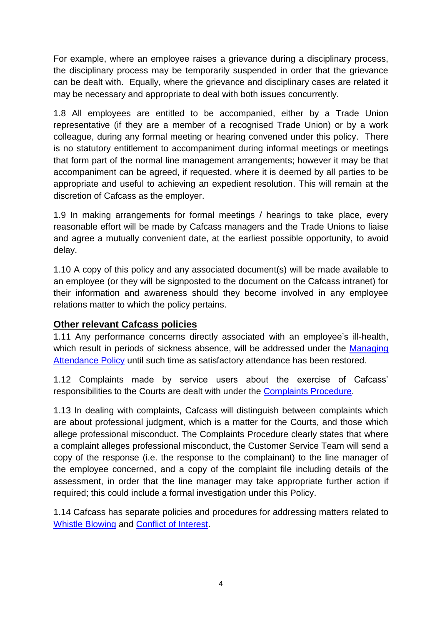For example, where an employee raises a grievance during a disciplinary process, the disciplinary process may be temporarily suspended in order that the grievance can be dealt with. Equally, where the grievance and disciplinary cases are related it may be necessary and appropriate to deal with both issues concurrently.

1.8 All employees are entitled to be accompanied, either by a Trade Union representative (if they are a member of a recognised Trade Union) or by a work colleague, during any formal meeting or hearing convened under this policy. There is no statutory entitlement to accompaniment during informal meetings or meetings that form part of the normal line management arrangements; however it may be that accompaniment can be agreed, if requested, where it is deemed by all parties to be appropriate and useful to achieving an expedient resolution. This will remain at the discretion of Cafcass as the employer.

1.9 In making arrangements for formal meetings / hearings to take place, every reasonable effort will be made by Cafcass managers and the Trade Unions to liaise and agree a mutually convenient date, at the earliest possible opportunity, to avoid delay.

1.10 A copy of this policy and any associated document(s) will be made available to an employee (or they will be signposted to the document on the Cafcass intranet) for their information and awareness should they become involved in any employee relations matter to which the policy pertains.

#### <span id="page-3-0"></span>**Other relevant Cafcass policies**

1.11 Any performance concerns directly associated with an employee's ill-health, which result in periods of sickness absence, will be addressed under the Managing [Attendance Policy](http://intranet4cafcass/departments/Documents/HR/Policies%20and%20Procedures/Managing_Attendance_Policy_(130528).pdf) until such time as satisfactory attendance has been restored.

1.12 Complaints made by service users about the exercise of Cafcass' responsibilities to the Courts are dealt with under the [Complaints Procedure.](http://intranet4cafcass/departments/Documents/Customer%20Services/Complaints%20and%20Compliments%20Policy.pdf)

1.13 In dealing with complaints, Cafcass will distinguish between complaints which are about professional judgment, which is a matter for the Courts, and those which allege professional misconduct. The Complaints Procedure clearly states that where a complaint alleges professional misconduct, the Customer Service Team will send a copy of the response (i.e. the response to the complainant) to the line manager of the employee concerned, and a copy of the complaint file including details of the assessment, in order that the line manager may take appropriate further action if required; this could include a formal investigation under this Policy.

1.14 Cafcass has separate policies and procedures for addressing matters related to [Whistle Blowing](http://intranet4cafcass/departments/Documents/HR/Policies%20and%20Procedures/Employee%20Relations/141023%20-%20Whistle%20Blowing%20Policy%20-%20October%202014%20update.doc) and Conflict [of Interest.](http://intranet4cafcass/departments/Documents/HR/Policies%20and%20Procedures/Employee%20Relations/140319%20Conflict%20of%20Interests%20policy.pdf)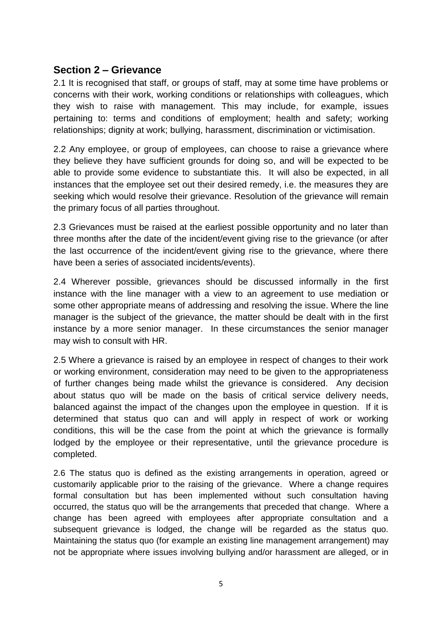#### <span id="page-4-0"></span>**Section 2 – Grievance**

2.1 It is recognised that staff, or groups of staff, may at some time have problems or concerns with their work, working conditions or relationships with colleagues, which they wish to raise with management. This may include, for example, issues pertaining to: terms and conditions of employment; health and safety; working relationships; dignity at work; bullying, harassment, discrimination or victimisation.

2.2 Any employee, or group of employees, can choose to raise a grievance where they believe they have sufficient grounds for doing so, and will be expected to be able to provide some evidence to substantiate this. It will also be expected, in all instances that the employee set out their desired remedy, i.e. the measures they are seeking which would resolve their grievance. Resolution of the grievance will remain the primary focus of all parties throughout.

2.3 Grievances must be raised at the earliest possible opportunity and no later than three months after the date of the incident/event giving rise to the grievance (or after the last occurrence of the incident/event giving rise to the grievance, where there have been a series of associated incidents/events).

2.4 Wherever possible, grievances should be discussed informally in the first instance with the line manager with a view to an agreement to use mediation or some other appropriate means of addressing and resolving the issue. Where the line manager is the subject of the grievance, the matter should be dealt with in the first instance by a more senior manager. In these circumstances the senior manager may wish to consult with HR.

2.5 Where a grievance is raised by an employee in respect of changes to their work or working environment, consideration may need to be given to the appropriateness of further changes being made whilst the grievance is considered. Any decision about status quo will be made on the basis of critical service delivery needs, balanced against the impact of the changes upon the employee in question. If it is determined that status quo can and will apply in respect of work or working conditions, this will be the case from the point at which the grievance is formally lodged by the employee or their representative, until the grievance procedure is completed.

2.6 The status quo is defined as the existing arrangements in operation, agreed or customarily applicable prior to the raising of the grievance. Where a change requires formal consultation but has been implemented without such consultation having occurred, the status quo will be the arrangements that preceded that change. Where a change has been agreed with employees after appropriate consultation and a subsequent grievance is lodged, the change will be regarded as the status quo. Maintaining the status quo (for example an existing line management arrangement) may not be appropriate where issues involving bullying and/or harassment are alleged, or in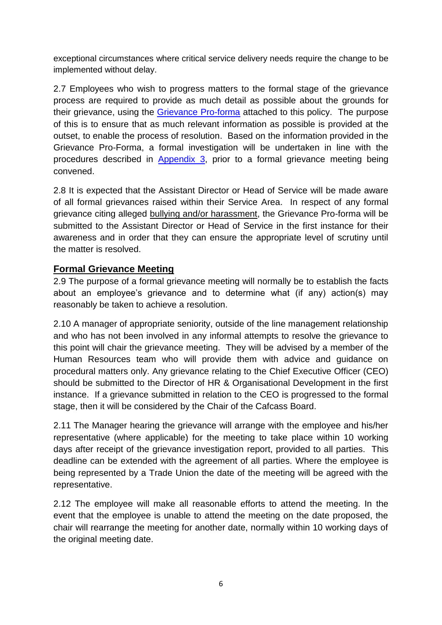exceptional circumstances where critical service delivery needs require the change to be implemented without delay.

2.7 Employees who wish to progress matters to the formal stage of the grievance process are required to provide as much detail as possible about the grounds for their grievance, using the [Grievance Pro-forma](http://intranet4cafcass/departments/Documents/HR/Policies%20and%20Procedures/Employee%20Relations/Formal%20Greivance%20and%20Dignity%20at%20Work%20Submission%20Proforma.pdf) attached to this policy. The purpose of this is to ensure that as much relevant information as possible is provided at the outset, to enable the process of resolution. Based on the information provided in the Grievance Pro-Forma, a formal investigation will be undertaken in line with the procedures described in [Appendix 3,](#page-36-0) prior to a formal grievance meeting being convened.

2.8 It is expected that the Assistant Director or Head of Service will be made aware of all formal grievances raised within their Service Area. In respect of any formal grievance citing alleged bullying and/or harassment, the Grievance Pro-forma will be submitted to the Assistant Director or Head of Service in the first instance for their awareness and in order that they can ensure the appropriate level of scrutiny until the matter is resolved.

## <span id="page-5-0"></span>**Formal Grievance Meeting**

2.9 The purpose of a formal grievance meeting will normally be to establish the facts about an employee's grievance and to determine what (if any) action(s) may reasonably be taken to achieve a resolution.

2.10 A manager of appropriate seniority, outside of the line management relationship and who has not been involved in any informal attempts to resolve the grievance to this point will chair the grievance meeting. They will be advised by a member of the Human Resources team who will provide them with advice and guidance on procedural matters only. Any grievance relating to the Chief Executive Officer (CEO) should be submitted to the Director of HR & Organisational Development in the first instance. If a grievance submitted in relation to the CEO is progressed to the formal stage, then it will be considered by the Chair of the Cafcass Board.

2.11 The Manager hearing the grievance will arrange with the employee and his/her representative (where applicable) for the meeting to take place within 10 working days after receipt of the grievance investigation report, provided to all parties. This deadline can be extended with the agreement of all parties. Where the employee is being represented by a Trade Union the date of the meeting will be agreed with the representative.

2.12 The employee will make all reasonable efforts to attend the meeting. In the event that the employee is unable to attend the meeting on the date proposed, the chair will rearrange the meeting for another date, normally within 10 working days of the original meeting date.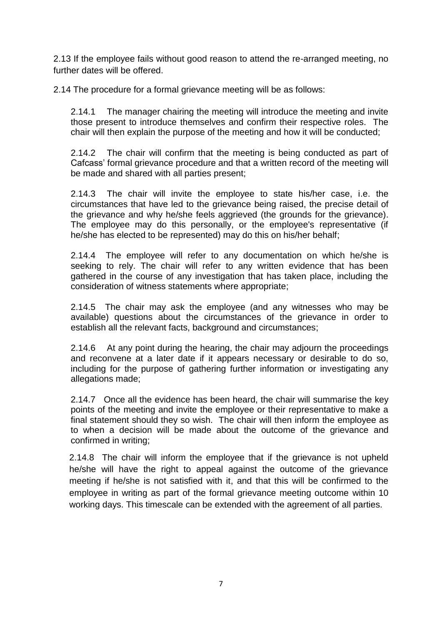2.13 If the employee fails without good reason to attend the re-arranged meeting, no further dates will be offered.

2.14 The procedure for a formal grievance meeting will be as follows:

2.14.1 The manager chairing the meeting will introduce the meeting and invite those present to introduce themselves and confirm their respective roles. The chair will then explain the purpose of the meeting and how it will be conducted;

2.14.2 The chair will confirm that the meeting is being conducted as part of Cafcass' formal grievance procedure and that a written record of the meeting will be made and shared with all parties present;

2.14.3 The chair will invite the employee to state his/her case, i.e. the circumstances that have led to the grievance being raised, the precise detail of the grievance and why he/she feels aggrieved (the grounds for the grievance). The employee may do this personally, or the employee's representative (if he/she has elected to be represented) may do this on his/her behalf;

2.14.4 The employee will refer to any documentation on which he/she is seeking to rely. The chair will refer to any written evidence that has been gathered in the course of any investigation that has taken place, including the consideration of witness statements where appropriate;

2.14.5 The chair may ask the employee (and any witnesses who may be available) questions about the circumstances of the grievance in order to establish all the relevant facts, background and circumstances;

2.14.6 At any point during the hearing, the chair may adjourn the proceedings and reconvene at a later date if it appears necessary or desirable to do so, including for the purpose of gathering further information or investigating any allegations made;

2.14.7 Once all the evidence has been heard, the chair will summarise the key points of the meeting and invite the employee or their representative to make a final statement should they so wish. The chair will then inform the employee as to when a decision will be made about the outcome of the grievance and confirmed in writing;

<span id="page-6-0"></span>2.14.8 The chair will inform the employee that if the grievance is not upheld he/she will have the right to appeal against the outcome of the grievance meeting if he/she is not satisfied with it, and that this will be confirmed to the employee in writing as part of the formal grievance meeting outcome within 10 working days. This timescale can be extended with the agreement of all parties.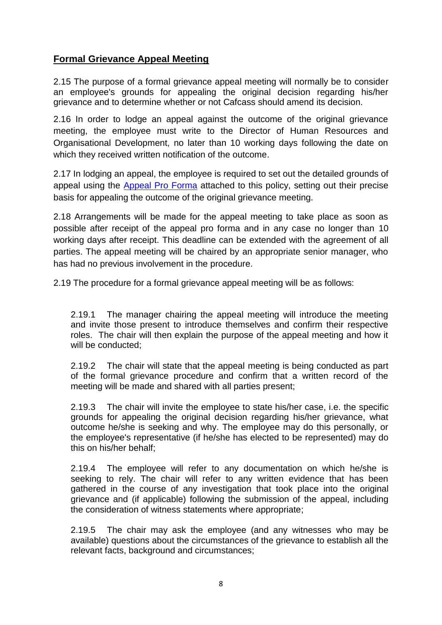## **Formal Grievance Appeal Meeting**

2.15 The purpose of a formal grievance appeal meeting will normally be to consider an employee's grounds for appealing the original decision regarding his/her grievance and to determine whether or not Cafcass should amend its decision.

2.16 In order to lodge an appeal against the outcome of the original grievance meeting, the employee must write to the Director of Human Resources and Organisational Development, no later than 10 working days following the date on which they received written notification of the outcome.

2.17 In lodging an appeal, the employee is required to set out the detailed grounds of appeal using the [Appeal Pro Forma](http://intranet4cafcass/departments/Documents/HR/Policies%20and%20Procedures/Employee%20Relations/Formal%20Appeal%20Proforma.pdf) attached to this policy, setting out their precise basis for appealing the outcome of the original grievance meeting.

2.18 Arrangements will be made for the appeal meeting to take place as soon as possible after receipt of the appeal pro forma and in any case no longer than 10 working days after receipt. This deadline can be extended with the agreement of all parties. The appeal meeting will be chaired by an appropriate senior manager, who has had no previous involvement in the procedure.

2.19 The procedure for a formal grievance appeal meeting will be as follows:

2.19.1 The manager chairing the appeal meeting will introduce the meeting and invite those present to introduce themselves and confirm their respective roles. The chair will then explain the purpose of the appeal meeting and how it will be conducted;

2.19.2 The chair will state that the appeal meeting is being conducted as part of the formal grievance procedure and confirm that a written record of the meeting will be made and shared with all parties present;

2.19.3 The chair will invite the employee to state his/her case, i.e. the specific grounds for appealing the original decision regarding his/her grievance, what outcome he/she is seeking and why. The employee may do this personally, or the employee's representative (if he/she has elected to be represented) may do this on his/her behalf;

2.19.4 The employee will refer to any documentation on which he/she is seeking to rely. The chair will refer to any written evidence that has been gathered in the course of any investigation that took place into the original grievance and (if applicable) following the submission of the appeal, including the consideration of witness statements where appropriate;

2.19.5 The chair may ask the employee (and any witnesses who may be available) questions about the circumstances of the grievance to establish all the relevant facts, background and circumstances;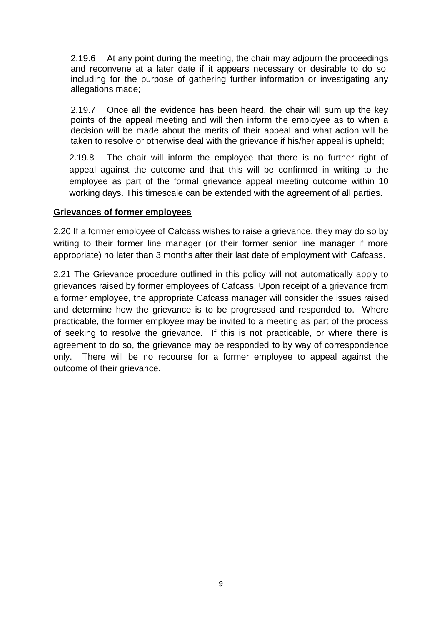2.19.6 At any point during the meeting, the chair may adjourn the proceedings and reconvene at a later date if it appears necessary or desirable to do so, including for the purpose of gathering further information or investigating any allegations made;

2.19.7 Once all the evidence has been heard, the chair will sum up the key points of the appeal meeting and will then inform the employee as to when a decision will be made about the merits of their appeal and what action will be taken to resolve or otherwise deal with the grievance if his/her appeal is upheld;

2.19.8 The chair will inform the employee that there is no further right of appeal against the outcome and that this will be confirmed in writing to the employee as part of the formal grievance appeal meeting outcome within 10 working days. This timescale can be extended with the agreement of all parties.

#### **Grievances of former employees**

2.20 If a former employee of Cafcass wishes to raise a grievance, they may do so by writing to their former line manager (or their former senior line manager if more appropriate) no later than 3 months after their last date of employment with Cafcass.

2.21 The Grievance procedure outlined in this policy will not automatically apply to grievances raised by former employees of Cafcass. Upon receipt of a grievance from a former employee, the appropriate Cafcass manager will consider the issues raised and determine how the grievance is to be progressed and responded to. Where practicable, the former employee may be invited to a meeting as part of the process of seeking to resolve the grievance. If this is not practicable, or where there is agreement to do so, the grievance may be responded to by way of correspondence only. There will be no recourse for a former employee to appeal against the outcome of their grievance.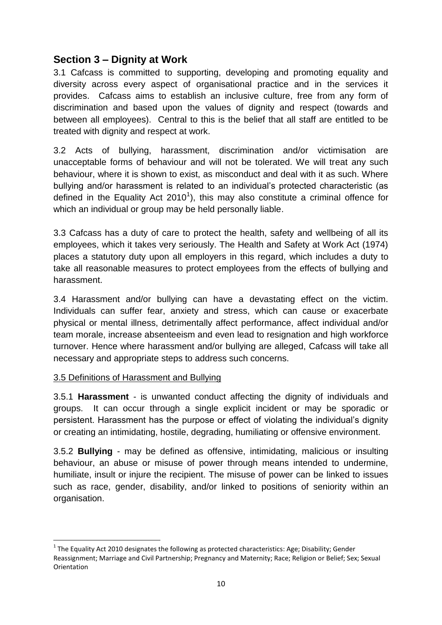## <span id="page-9-0"></span>**Section 3 – Dignity at Work**

3.1 Cafcass is committed to supporting, developing and promoting equality and diversity across every aspect of organisational practice and in the services it provides. Cafcass aims to establish an inclusive culture, free from any form of discrimination and based upon the values of dignity and respect (towards and between all employees). Central to this is the belief that all staff are entitled to be treated with dignity and respect at work.

3.2 Acts of bullying, harassment, discrimination and/or victimisation are unacceptable forms of behaviour and will not be tolerated. We will treat any such behaviour, where it is shown to exist, as misconduct and deal with it as such. Where bullying and/or harassment is related to an individual's protected characteristic (as defined in the Equality Act 2010<sup>1</sup>), this may also constitute a criminal offence for which an individual or group may be held personally liable.

3.3 Cafcass has a duty of care to protect the health, safety and wellbeing of all its employees, which it takes very seriously. The Health and Safety at Work Act (1974) places a statutory duty upon all employers in this regard, which includes a duty to take all reasonable measures to protect employees from the effects of bullying and harassment.

3.4 Harassment and/or bullying can have a devastating effect on the victim. Individuals can suffer fear, anxiety and stress, which can cause or exacerbate physical or mental illness, detrimentally affect performance, affect individual and/or team morale, increase absenteeism and even lead to resignation and high workforce turnover. Hence where harassment and/or bullying are alleged, Cafcass will take all necessary and appropriate steps to address such concerns.

#### 3.5 Definitions of Harassment and Bullying

**.** 

3.5.1 **Harassment** - is unwanted conduct affecting the dignity of individuals and groups. It can occur through a single explicit incident or may be sporadic or persistent. Harassment has the purpose or effect of violating the individual's dignity or creating an intimidating, hostile, degrading, humiliating or offensive environment.

3.5.2 **Bullying** - may be defined as offensive, intimidating, malicious or insulting behaviour, an abuse or misuse of power through means intended to undermine, humiliate, insult or injure the recipient. The misuse of power can be linked to issues such as race, gender, disability, and/or linked to positions of seniority within an organisation.

 $^{1}$  The Equality Act 2010 designates the following as protected characteristics: Age; Disability; Gender Reassignment; Marriage and Civil Partnership; Pregnancy and Maternity; Race; Religion or Belief; Sex; Sexual Orientation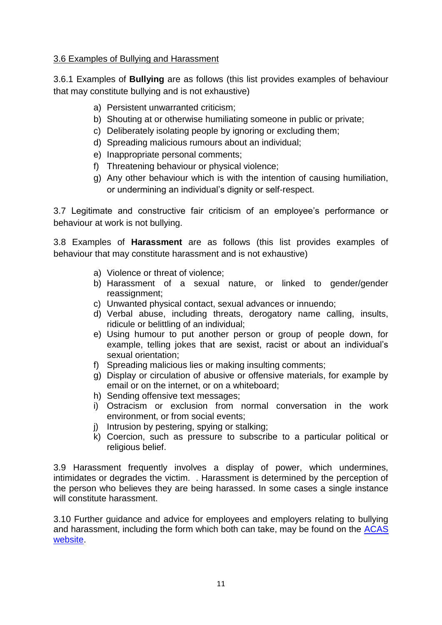#### 3.6 Examples of Bullying and Harassment

3.6.1 Examples of **Bullying** are as follows (this list provides examples of behaviour that may constitute bullying and is not exhaustive)

- a) Persistent unwarranted criticism;
- b) Shouting at or otherwise humiliating someone in public or private;
- c) Deliberately isolating people by ignoring or excluding them;
- d) Spreading malicious rumours about an individual;
- e) Inappropriate personal comments;
- f) Threatening behaviour or physical violence;
- g) Any other behaviour which is with the intention of causing humiliation, or undermining an individual's dignity or self-respect.

3.7 Legitimate and constructive fair criticism of an employee's performance or behaviour at work is not bullying.

3.8 Examples of **Harassment** are as follows (this list provides examples of behaviour that may constitute harassment and is not exhaustive)

- a) Violence or threat of violence;
- b) Harassment of a sexual nature, or linked to gender/gender reassignment;
- c) Unwanted physical contact, sexual advances or innuendo;
- d) Verbal abuse, including threats, derogatory name calling, insults, ridicule or belittling of an individual;
- e) Using humour to put another person or group of people down, for example, telling jokes that are sexist, racist or about an individual's sexual orientation;
- f) Spreading malicious lies or making insulting comments;
- g) Display or circulation of abusive or offensive materials, for example by email or on the internet, or on a whiteboard;
- h) Sending offensive text messages;
- i) Ostracism or exclusion from normal conversation in the work environment, or from social events;
- j) Intrusion by pestering, spying or stalking;
- k) Coercion, such as pressure to subscribe to a particular political or religious belief.

3.9 Harassment frequently involves a display of power, which undermines, intimidates or degrades the victim. . Harassment is determined by the perception of the person who believes they are being harassed. In some cases a single instance will constitute harassment.

3.10 Further guidance and advice for employees and employers relating to bullying and harassment, including the form which both can take, may be found on the ACAS [website.](http://www.acas.org.uk/index.aspx?articleid=4701&q=bullying+and+harassment)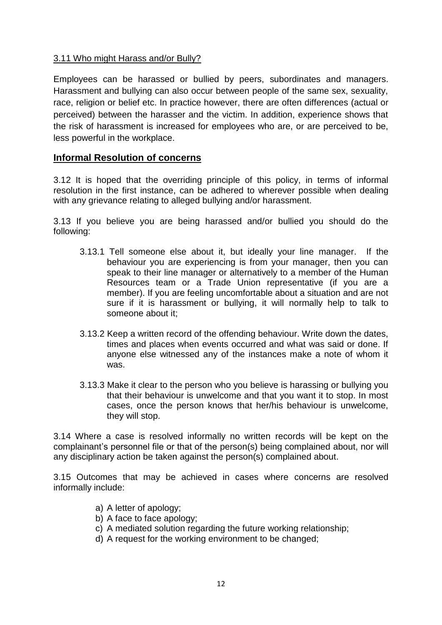#### 3.11 Who might Harass and/or Bully?

Employees can be harassed or bullied by peers, subordinates and managers. Harassment and bullying can also occur between people of the same sex, sexuality, race, religion or belief etc. In practice however, there are often differences (actual or perceived) between the harasser and the victim. In addition, experience shows that the risk of harassment is increased for employees who are, or are perceived to be, less powerful in the workplace.

#### <span id="page-11-0"></span>**Informal Resolution of concerns**

3.12 It is hoped that the overriding principle of this policy, in terms of informal resolution in the first instance, can be adhered to wherever possible when dealing with any grievance relating to alleged bullying and/or harassment.

3.13 If you believe you are being harassed and/or bullied you should do the following:

- 3.13.1 Tell someone else about it, but ideally your line manager. If the behaviour you are experiencing is from your manager, then you can speak to their line manager or alternatively to a member of the Human Resources team or a Trade Union representative (if you are a member). If you are feeling uncomfortable about a situation and are not sure if it is harassment or bullying, it will normally help to talk to someone about it;
- 3.13.2 Keep a written record of the offending behaviour. Write down the dates, times and places when events occurred and what was said or done. If anyone else witnessed any of the instances make a note of whom it was.
- 3.13.3 Make it clear to the person who you believe is harassing or bullying you that their behaviour is unwelcome and that you want it to stop. In most cases, once the person knows that her/his behaviour is unwelcome, they will stop.

3.14 Where a case is resolved informally no written records will be kept on the complainant's personnel file or that of the person(s) being complained about, nor will any disciplinary action be taken against the person(s) complained about.

3.15 Outcomes that may be achieved in cases where concerns are resolved informally include:

- a) A letter of apology;
- b) A face to face apology;
- c) A mediated solution regarding the future working relationship;
- d) A request for the working environment to be changed;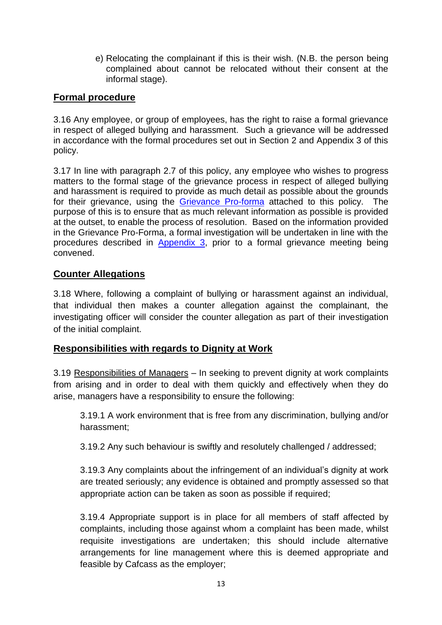e) Relocating the complainant if this is their wish. (N.B. the person being complained about cannot be relocated without their consent at the informal stage).

#### <span id="page-12-0"></span>**Formal procedure**

3.16 Any employee, or group of employees, has the right to raise a formal grievance in respect of alleged bullying and harassment. Such a grievance will be addressed in accordance with the formal procedures set out in Section 2 and Appendix 3 of this policy.

3.17 In line with paragraph 2.7 of this policy, any employee who wishes to progress matters to the formal stage of the grievance process in respect of alleged bullying and harassment is required to provide as much detail as possible about the grounds for their grievance, using the [Grievance Pro-forma](http://intranet4cafcass/departments/Documents/HR/Policies%20and%20Procedures/Employee%20Relations/Formal%20Greivance%20and%20Dignity%20at%20Work%20Submission%20Proforma.pdf) attached to this policy. The purpose of this is to ensure that as much relevant information as possible is provided at the outset, to enable the process of resolution. Based on the information provided in the Grievance Pro-Forma, a formal investigation will be undertaken in line with the procedures described in [Appendix 3,](#page-36-0) prior to a formal grievance meeting being convened.

#### **Counter Allegations**

3.18 Where, following a complaint of bullying or harassment against an individual, that individual then makes a counter allegation against the complainant, the investigating officer will consider the counter allegation as part of their investigation of the initial complaint.

#### <span id="page-12-1"></span>**Responsibilities with regards to Dignity at Work**

3.19 Responsibilities of Managers – In seeking to prevent dignity at work complaints from arising and in order to deal with them quickly and effectively when they do arise, managers have a responsibility to ensure the following:

3.19.1 A work environment that is free from any discrimination, bullying and/or harassment;

3.19.2 Any such behaviour is swiftly and resolutely challenged / addressed;

3.19.3 Any complaints about the infringement of an individual's dignity at work are treated seriously; any evidence is obtained and promptly assessed so that appropriate action can be taken as soon as possible if required;

3.19.4 Appropriate support is in place for all members of staff affected by complaints, including those against whom a complaint has been made, whilst requisite investigations are undertaken; this should include alternative arrangements for line management where this is deemed appropriate and feasible by Cafcass as the employer;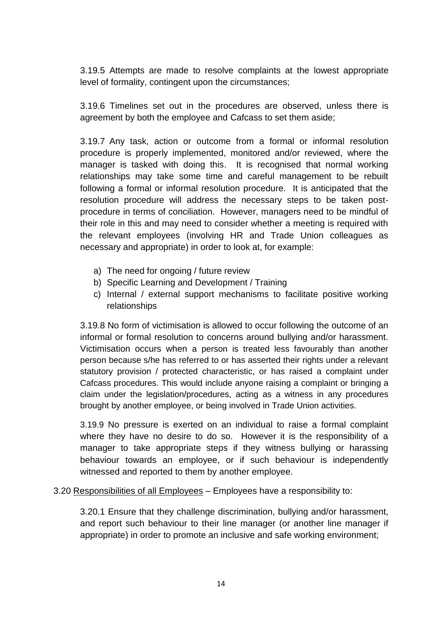3.19.5 Attempts are made to resolve complaints at the lowest appropriate level of formality, contingent upon the circumstances;

3.19.6 Timelines set out in the procedures are observed, unless there is agreement by both the employee and Cafcass to set them aside;

3.19.7 Any task, action or outcome from a formal or informal resolution procedure is properly implemented, monitored and/or reviewed, where the manager is tasked with doing this. It is recognised that normal working relationships may take some time and careful management to be rebuilt following a formal or informal resolution procedure. It is anticipated that the resolution procedure will address the necessary steps to be taken postprocedure in terms of conciliation. However, managers need to be mindful of their role in this and may need to consider whether a meeting is required with the relevant employees (involving HR and Trade Union colleagues as necessary and appropriate) in order to look at, for example:

- a) The need for ongoing / future review
- b) Specific Learning and Development / Training
- c) Internal / external support mechanisms to facilitate positive working relationships

3.19.8 No form of victimisation is allowed to occur following the outcome of an informal or formal resolution to concerns around bullying and/or harassment. Victimisation occurs when a person is treated less favourably than another person because s/he has referred to or has asserted their rights under a relevant statutory provision / protected characteristic, or has raised a complaint under Cafcass procedures. This would include anyone raising a complaint or bringing a claim under the legislation/procedures, acting as a witness in any procedures brought by another employee, or being involved in Trade Union activities.

3.19.9 No pressure is exerted on an individual to raise a formal complaint where they have no desire to do so. However it is the responsibility of a manager to take appropriate steps if they witness bullying or harassing behaviour towards an employee, or if such behaviour is independently witnessed and reported to them by another employee.

#### 3.20 Responsibilities of all Employees – Employees have a responsibility to:

3.20.1 Ensure that they challenge discrimination, bullying and/or harassment, and report such behaviour to their line manager (or another line manager if appropriate) in order to promote an inclusive and safe working environment;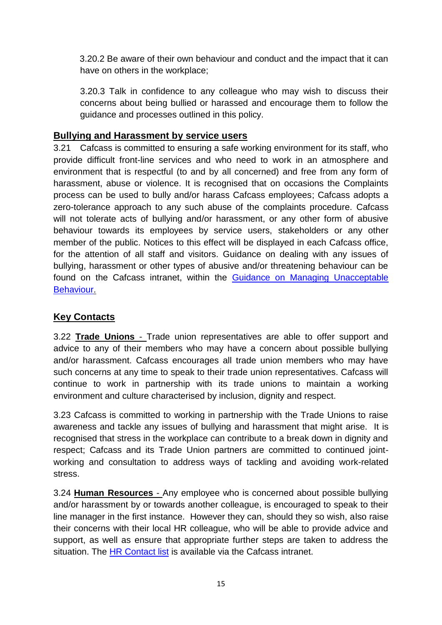3.20.2 Be aware of their own behaviour and conduct and the impact that it can have on others in the workplace;

3.20.3 Talk in confidence to any colleague who may wish to discuss their concerns about being bullied or harassed and encourage them to follow the guidance and processes outlined in this policy.

#### <span id="page-14-0"></span>**Bullying and Harassment by service users**

3.21 Cafcass is committed to ensuring a safe working environment for its staff, who provide difficult front-line services and who need to work in an atmosphere and environment that is respectful (to and by all concerned) and free from any form of harassment, abuse or violence. It is recognised that on occasions the Complaints process can be used to bully and/or harass Cafcass employees; Cafcass adopts a zero-tolerance approach to any such abuse of the complaints procedure. Cafcass will not tolerate acts of bullying and/or harassment, or any other form of abusive behaviour towards its employees by service users, stakeholders or any other member of the public. Notices to this effect will be displayed in each Cafcass office, for the attention of all staff and visitors. Guidance on dealing with any issues of bullying, harassment or other types of abusive and/or threatening behaviour can be found on the Cafcass intranet, within the [Guidance on Managing Unacceptable](http://intranet4cafcass/departments/Documents/Forms/AllItems.aspx?RootFolder=%2fdepartments%2fDocuments%2fCustomer%20Services&FolderCTID=0x012000FF7D350F45522947819D35D3CAA7E677)  [Behaviour.](http://intranet4cafcass/departments/Documents/Forms/AllItems.aspx?RootFolder=%2fdepartments%2fDocuments%2fCustomer%20Services&FolderCTID=0x012000FF7D350F45522947819D35D3CAA7E677)

## **Key Contacts**

3.22 **Trade Unions** - Trade union representatives are able to offer support and advice to any of their members who may have a concern about possible bullying and/or harassment. Cafcass encourages all trade union members who may have such concerns at any time to speak to their trade union representatives. Cafcass will continue to work in partnership with its trade unions to maintain a working environment and culture characterised by inclusion, dignity and respect.

3.23 Cafcass is committed to working in partnership with the Trade Unions to raise awareness and tackle any issues of bullying and harassment that might arise. It is recognised that stress in the workplace can contribute to a break down in dignity and respect; Cafcass and its Trade Union partners are committed to continued jointworking and consultation to address ways of tackling and avoiding work-related stress.

3.24 **Human Resources** - Any employee who is concerned about possible bullying and/or harassment by or towards another colleague, is encouraged to speak to their line manager in the first instance. However they can, should they so wish, also raise their concerns with their local HR colleague, who will be able to provide advice and support, as well as ensure that appropriate further steps are taken to address the situation. The [HR Contact list](http://intranet4cafcass/departments/hr/Pages/Contact-HR.aspx) is available via the Cafcass intranet.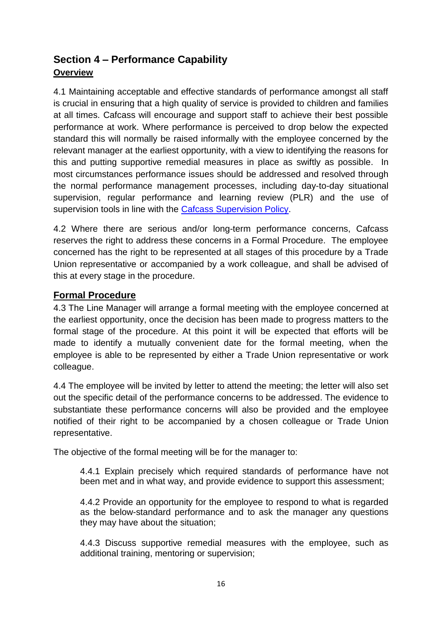## <span id="page-15-0"></span>**Section 4 – Performance Capability Overview**

4.1 Maintaining acceptable and effective standards of performance amongst all staff is crucial in ensuring that a high quality of service is provided to children and families at all times. Cafcass will encourage and support staff to achieve their best possible performance at work. Where performance is perceived to drop below the expected standard this will normally be raised informally with the employee concerned by the relevant manager at the earliest opportunity, with a view to identifying the reasons for this and putting supportive remedial measures in place as swiftly as possible. In most circumstances performance issues should be addressed and resolved through the normal performance management processes, including day-to-day situational supervision, regular performance and learning review (PLR) and the use of supervision tools in line with the [Cafcass Supervision Policy.](http://intranet4cafcass/departments/Documents/HR/Policies%20and%20Procedures/Supervision%20policy%202012.pdf)

4.2 Where there are serious and/or long-term performance concerns, Cafcass reserves the right to address these concerns in a Formal Procedure. The employee concerned has the right to be represented at all stages of this procedure by a Trade Union representative or accompanied by a work colleague, and shall be advised of this at every stage in the procedure.

#### <span id="page-15-1"></span>**Formal Procedure**

4.3 The Line Manager will arrange a formal meeting with the employee concerned at the earliest opportunity, once the decision has been made to progress matters to the formal stage of the procedure. At this point it will be expected that efforts will be made to identify a mutually convenient date for the formal meeting, when the employee is able to be represented by either a Trade Union representative or work colleague.

4.4 The employee will be invited by letter to attend the meeting; the letter will also set out the specific detail of the performance concerns to be addressed. The evidence to substantiate these performance concerns will also be provided and the employee notified of their right to be accompanied by a chosen colleague or Trade Union representative.

The objective of the formal meeting will be for the manager to:

4.4.1 Explain precisely which required standards of performance have not been met and in what way, and provide evidence to support this assessment;

4.4.2 Provide an opportunity for the employee to respond to what is regarded as the below-standard performance and to ask the manager any questions they may have about the situation;

4.4.3 Discuss supportive remedial measures with the employee, such as additional training, mentoring or supervision;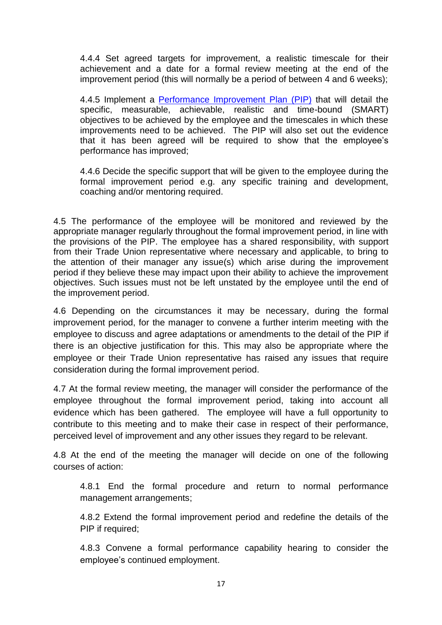4.4.4 Set agreed targets for improvement, a realistic timescale for their achievement and a date for a formal review meeting at the end of the improvement period (this will normally be a period of between 4 and 6 weeks);

4.4.5 Implement a [Performance Improvement Plan](http://intranet4cafcass/departments/Documents/HR/Management%20Guidance/Supervision/Performance_Improvement_Plan.doc) (PIP) that will detail the specific, measurable, achievable, realistic and time-bound (SMART) objectives to be achieved by the employee and the timescales in which these improvements need to be achieved. The PIP will also set out the evidence that it has been agreed will be required to show that the employee's performance has improved;

4.4.6 Decide the specific support that will be given to the employee during the formal improvement period e.g. any specific training and development, coaching and/or mentoring required.

4.5 The performance of the employee will be monitored and reviewed by the appropriate manager regularly throughout the formal improvement period, in line with the provisions of the PIP. The employee has a shared responsibility, with support from their Trade Union representative where necessary and applicable, to bring to the attention of their manager any issue(s) which arise during the improvement period if they believe these may impact upon their ability to achieve the improvement objectives. Such issues must not be left unstated by the employee until the end of the improvement period.

4.6 Depending on the circumstances it may be necessary, during the formal improvement period, for the manager to convene a further interim meeting with the employee to discuss and agree adaptations or amendments to the detail of the PIP if there is an objective justification for this. This may also be appropriate where the employee or their Trade Union representative has raised any issues that require consideration during the formal improvement period.

4.7 At the formal review meeting, the manager will consider the performance of the employee throughout the formal improvement period, taking into account all evidence which has been gathered. The employee will have a full opportunity to contribute to this meeting and to make their case in respect of their performance, perceived level of improvement and any other issues they regard to be relevant.

4.8 At the end of the meeting the manager will decide on one of the following courses of action:

4.8.1 End the formal procedure and return to normal performance management arrangements;

4.8.2 Extend the formal improvement period and redefine the details of the PIP if required;

4.8.3 Convene a formal performance capability hearing to consider the employee's continued employment.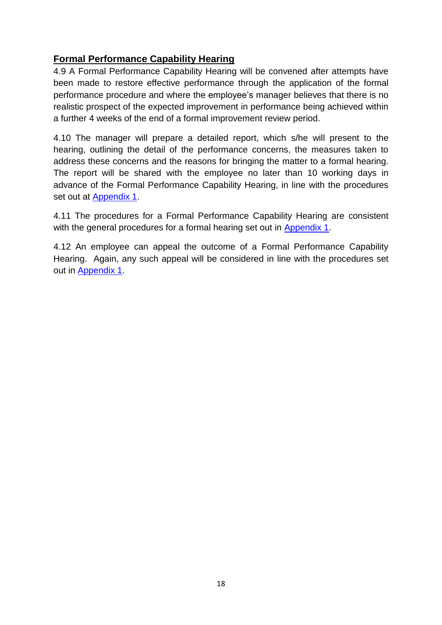## <span id="page-17-0"></span>**Formal Performance Capability Hearing**

4.9 A Formal Performance Capability Hearing will be convened after attempts have been made to restore effective performance through the application of the formal performance procedure and where the employee's manager believes that there is no realistic prospect of the expected improvement in performance being achieved within a further 4 weeks of the end of a formal improvement review period.

4.10 The manager will prepare a detailed report, which s/he will present to the hearing, outlining the detail of the performance concerns, the measures taken to address these concerns and the reasons for bringing the matter to a formal hearing. The report will be shared with the employee no later than 10 working days in advance of the Formal Performance Capability Hearing, in line with the procedures set out at [Appendix 1.](#page-26-0)

4.11 The procedures for a Formal Performance Capability Hearing are consistent with the general procedures for a formal hearing set out in [Appendix 1.](#page-26-0)

4.12 An employee can appeal the outcome of a Formal Performance Capability Hearing. Again, any such appeal will be considered in line with the procedures set out in [Appendix 1.](#page-26-0)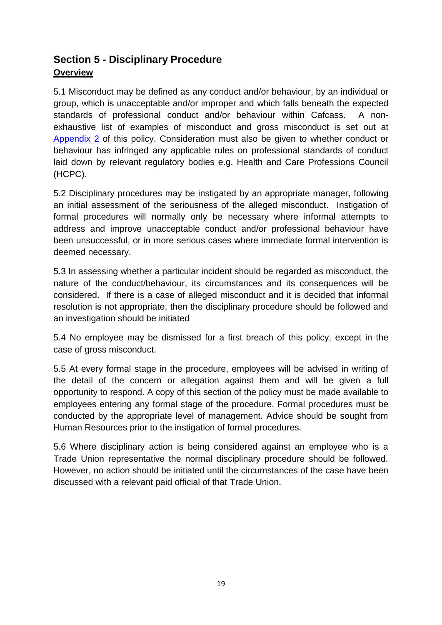## <span id="page-18-0"></span>**Section 5 - Disciplinary Procedure Overview**

5.1 Misconduct may be defined as any conduct and/or behaviour, by an individual or group, which is unacceptable and/or improper and which falls beneath the expected standards of professional conduct and/or behaviour within Cafcass. A nonexhaustive list of examples of misconduct and gross misconduct is set out at [Appendix 2](#page-32-0) of this policy. Consideration must also be given to whether conduct or behaviour has infringed any applicable rules on professional standards of conduct laid down by relevant regulatory bodies e.g. Health and Care Professions Council (HCPC).

5.2 Disciplinary procedures may be instigated by an appropriate manager, following an initial assessment of the seriousness of the alleged misconduct. Instigation of formal procedures will normally only be necessary where informal attempts to address and improve unacceptable conduct and/or professional behaviour have been unsuccessful, or in more serious cases where immediate formal intervention is deemed necessary.

5.3 In assessing whether a particular incident should be regarded as misconduct, the nature of the conduct/behaviour, its circumstances and its consequences will be considered. If there is a case of alleged misconduct and it is decided that informal resolution is not appropriate, then the disciplinary procedure should be followed and an investigation should be initiated

5.4 No employee may be dismissed for a first breach of this policy, except in the case of gross misconduct.

5.5 At every formal stage in the procedure, employees will be advised in writing of the detail of the concern or allegation against them and will be given a full opportunity to respond. A copy of this section of the policy must be made available to employees entering any formal stage of the procedure. Formal procedures must be conducted by the appropriate level of management. Advice should be sought from Human Resources prior to the instigation of formal procedures.

5.6 Where disciplinary action is being considered against an employee who is a Trade Union representative the normal disciplinary procedure should be followed. However, no action should be initiated until the circumstances of the case have been discussed with a relevant paid official of that Trade Union.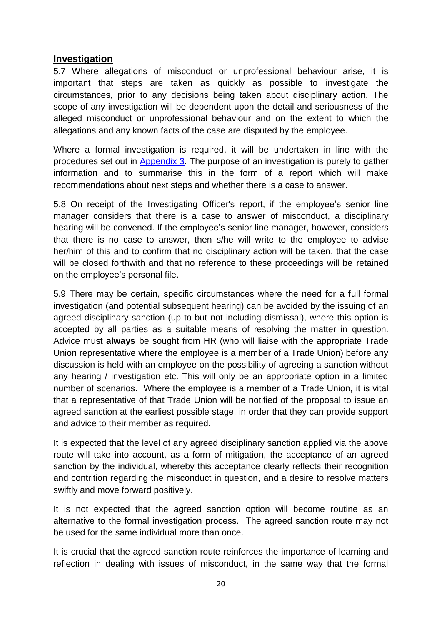#### <span id="page-19-0"></span>**Investigation**

5.7 Where allegations of misconduct or unprofessional behaviour arise, it is important that steps are taken as quickly as possible to investigate the circumstances, prior to any decisions being taken about disciplinary action. The scope of any investigation will be dependent upon the detail and seriousness of the alleged misconduct or unprofessional behaviour and on the extent to which the allegations and any known facts of the case are disputed by the employee.

Where a formal investigation is required, it will be undertaken in line with the procedures set out in [Appendix 3.](#page-36-0) The purpose of an investigation is purely to gather information and to summarise this in the form of a report which will make recommendations about next steps and whether there is a case to answer.

5.8 On receipt of the Investigating Officer's report, if the employee's senior line manager considers that there is a case to answer of misconduct, a disciplinary hearing will be convened. If the employee's senior line manager, however, considers that there is no case to answer, then s/he will write to the employee to advise her/him of this and to confirm that no disciplinary action will be taken, that the case will be closed forthwith and that no reference to these proceedings will be retained on the employee's personal file.

5.9 There may be certain, specific circumstances where the need for a full formal investigation (and potential subsequent hearing) can be avoided by the issuing of an agreed disciplinary sanction (up to but not including dismissal), where this option is accepted by all parties as a suitable means of resolving the matter in question. Advice must **always** be sought from HR (who will liaise with the appropriate Trade Union representative where the employee is a member of a Trade Union) before any discussion is held with an employee on the possibility of agreeing a sanction without any hearing / investigation etc. This will only be an appropriate option in a limited number of scenarios. Where the employee is a member of a Trade Union, it is vital that a representative of that Trade Union will be notified of the proposal to issue an agreed sanction at the earliest possible stage, in order that they can provide support and advice to their member as required.

It is expected that the level of any agreed disciplinary sanction applied via the above route will take into account, as a form of mitigation, the acceptance of an agreed sanction by the individual, whereby this acceptance clearly reflects their recognition and contrition regarding the misconduct in question, and a desire to resolve matters swiftly and move forward positively.

It is not expected that the agreed sanction option will become routine as an alternative to the formal investigation process. The agreed sanction route may not be used for the same individual more than once.

It is crucial that the agreed sanction route reinforces the importance of learning and reflection in dealing with issues of misconduct, in the same way that the formal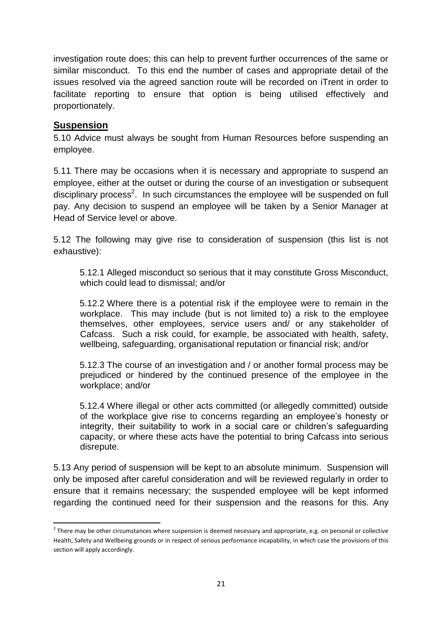investigation route does; this can help to prevent further occurrences of the same or similar misconduct. To this end the number of cases and appropriate detail of the issues resolved via the agreed sanction route will be recorded on iTrent in order to facilitate reporting to ensure that option is being utilised effectively and proportionately.

#### <span id="page-20-0"></span>**Suspension**

**.** 

5.10 Advice must always be sought from Human Resources before suspending an employee.

5.11 There may be occasions when it is necessary and appropriate to suspend an employee, either at the outset or during the course of an investigation or subsequent disciplinary process<sup>2</sup>. In such circumstances the employee will be suspended on full pay. Any decision to suspend an employee will be taken by a Senior Manager at Head of Service level or above.

5.12 The following may give rise to consideration of suspension (this list is not exhaustive):

5.12.1 Alleged misconduct so serious that it may constitute Gross Misconduct, which could lead to dismissal; and/or

5.12.2 Where there is a potential risk if the employee were to remain in the workplace. This may include (but is not limited to) a risk to the employee themselves, other employees, service users and/ or any stakeholder of Cafcass. Such a risk could, for example, be associated with health, safety, wellbeing, safeguarding, organisational reputation or financial risk; and/or

5.12.3 The course of an investigation and / or another formal process may be prejudiced or hindered by the continued presence of the employee in the workplace; and/or

5.12.4 Where illegal or other acts committed (or allegedly committed) outside of the workplace give rise to concerns regarding an employee's honesty or integrity, their suitability to work in a social care or children's safeguarding capacity, or where these acts have the potential to bring Cafcass into serious disrepute.

5.13 Any period of suspension will be kept to an absolute minimum. Suspension will only be imposed after careful consideration and will be reviewed regularly in order to ensure that it remains necessary; the suspended employee will be kept informed regarding the continued need for their suspension and the reasons for this. Any

 $2$  There may be other circumstances where suspension is deemed necessary and appropriate, e.g. on personal or collective Health, Safety and Wellbeing grounds or in respect of serious performance incapability, in which case the provisions of this section will apply accordingly.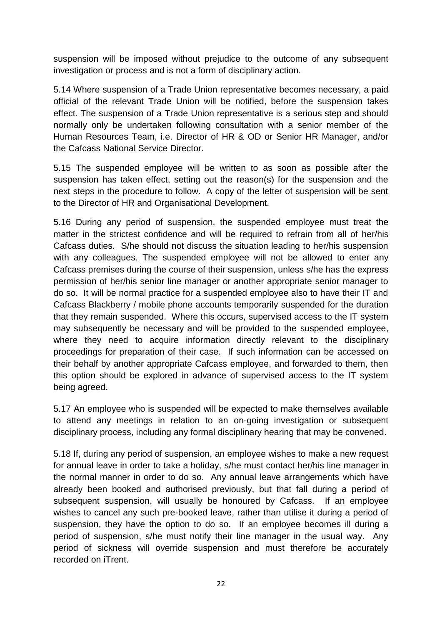suspension will be imposed without prejudice to the outcome of any subsequent investigation or process and is not a form of disciplinary action.

5.14 Where suspension of a Trade Union representative becomes necessary, a paid official of the relevant Trade Union will be notified, before the suspension takes effect. The suspension of a Trade Union representative is a serious step and should normally only be undertaken following consultation with a senior member of the Human Resources Team, i.e. Director of HR & OD or Senior HR Manager, and/or the Cafcass National Service Director.

5.15 The suspended employee will be written to as soon as possible after the suspension has taken effect, setting out the reason(s) for the suspension and the next steps in the procedure to follow. A copy of the letter of suspension will be sent to the Director of HR and Organisational Development.

5.16 During any period of suspension, the suspended employee must treat the matter in the strictest confidence and will be required to refrain from all of her/his Cafcass duties. S/he should not discuss the situation leading to her/his suspension with any colleagues. The suspended employee will not be allowed to enter any Cafcass premises during the course of their suspension, unless s/he has the express permission of her/his senior line manager or another appropriate senior manager to do so. It will be normal practice for a suspended employee also to have their IT and Cafcass Blackberry / mobile phone accounts temporarily suspended for the duration that they remain suspended. Where this occurs, supervised access to the IT system may subsequently be necessary and will be provided to the suspended employee, where they need to acquire information directly relevant to the disciplinary proceedings for preparation of their case. If such information can be accessed on their behalf by another appropriate Cafcass employee, and forwarded to them, then this option should be explored in advance of supervised access to the IT system being agreed.

5.17 An employee who is suspended will be expected to make themselves available to attend any meetings in relation to an on-going investigation or subsequent disciplinary process, including any formal disciplinary hearing that may be convened.

5.18 If, during any period of suspension, an employee wishes to make a new request for annual leave in order to take a holiday, s/he must contact her/his line manager in the normal manner in order to do so. Any annual leave arrangements which have already been booked and authorised previously, but that fall during a period of subsequent suspension, will usually be honoured by Cafcass. If an employee wishes to cancel any such pre-booked leave, rather than utilise it during a period of suspension, they have the option to do so. If an employee becomes ill during a period of suspension, s/he must notify their line manager in the usual way. Any period of sickness will override suspension and must therefore be accurately recorded on iTrent.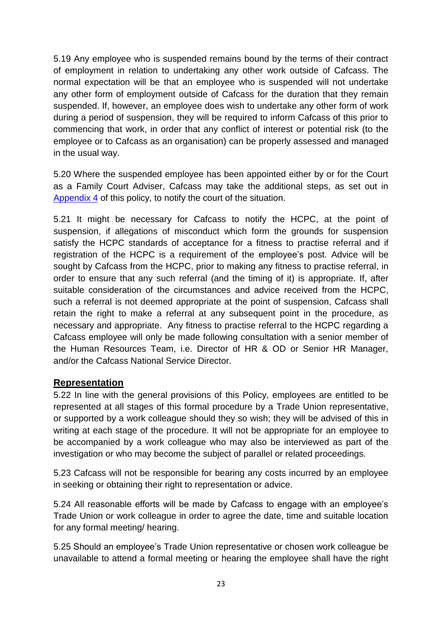5.19 Any employee who is suspended remains bound by the terms of their contract of employment in relation to undertaking any other work outside of Cafcass. The normal expectation will be that an employee who is suspended will not undertake any other form of employment outside of Cafcass for the duration that they remain suspended. If, however, an employee does wish to undertake any other form of work during a period of suspension, they will be required to inform Cafcass of this prior to commencing that work, in order that any conflict of interest or potential risk (to the employee or to Cafcass as an organisation) can be properly assessed and managed in the usual way.

5.20 Where the suspended employee has been appointed either by or for the Court as a Family Court Adviser, Cafcass may take the additional steps, as set out in [Appendix 4](#page-38-0) of this policy, to notify the court of the situation.

5.21 It might be necessary for Cafcass to notify the HCPC, at the point of suspension, if allegations of misconduct which form the grounds for suspension satisfy the HCPC standards of acceptance for a fitness to practise referral and if registration of the HCPC is a requirement of the employee's post. Advice will be sought by Cafcass from the HCPC, prior to making any fitness to practise referral, in order to ensure that any such referral (and the timing of it) is appropriate. If, after suitable consideration of the circumstances and advice received from the HCPC, such a referral is not deemed appropriate at the point of suspension, Cafcass shall retain the right to make a referral at any subsequent point in the procedure, as necessary and appropriate. Any fitness to practise referral to the HCPC regarding a Cafcass employee will only be made following consultation with a senior member of the Human Resources Team, i.e. Director of HR & OD or Senior HR Manager, and/or the Cafcass National Service Director.

#### <span id="page-22-0"></span>**Representation**

5.22 In line with the general provisions of this Policy, employees are entitled to be represented at all stages of this formal procedure by a Trade Union representative, or supported by a work colleague should they so wish; they will be advised of this in writing at each stage of the procedure. It will not be appropriate for an employee to be accompanied by a work colleague who may also be interviewed as part of the investigation or who may become the subject of parallel or related proceedings.

5.23 Cafcass will not be responsible for bearing any costs incurred by an employee in seeking or obtaining their right to representation or advice.

5.24 All reasonable efforts will be made by Cafcass to engage with an employee's Trade Union or work colleague in order to agree the date, time and suitable location for any formal meeting/ hearing.

5.25 Should an employee's Trade Union representative or chosen work colleague be unavailable to attend a formal meeting or hearing the employee shall have the right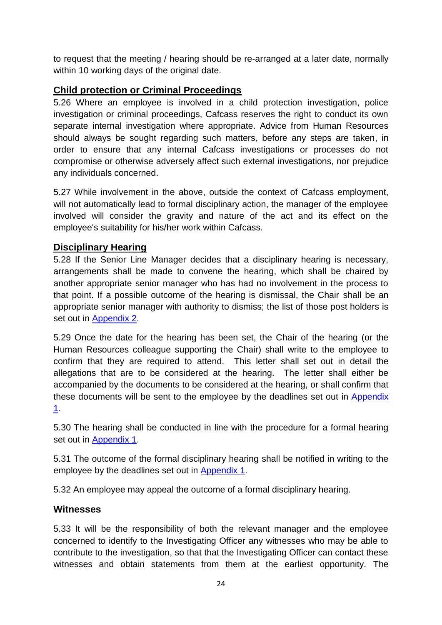to request that the meeting / hearing should be re-arranged at a later date, normally within 10 working days of the original date.

## <span id="page-23-0"></span>**Child protection or Criminal Proceedings**

5.26 Where an employee is involved in a child protection investigation, police investigation or criminal proceedings, Cafcass reserves the right to conduct its own separate internal investigation where appropriate. Advice from Human Resources should always be sought regarding such matters, before any steps are taken, in order to ensure that any internal Cafcass investigations or processes do not compromise or otherwise adversely affect such external investigations, nor prejudice any individuals concerned.

5.27 While involvement in the above, outside the context of Cafcass employment, will not automatically lead to formal disciplinary action, the manager of the employee involved will consider the gravity and nature of the act and its effect on the employee's suitability for his/her work within Cafcass.

#### <span id="page-23-1"></span>**Disciplinary Hearing**

5.28 If the Senior Line Manager decides that a disciplinary hearing is necessary, arrangements shall be made to convene the hearing, which shall be chaired by another appropriate senior manager who has had no involvement in the process to that point. If a possible outcome of the hearing is dismissal, the Chair shall be an appropriate senior manager with authority to dismiss; the list of those post holders is set out in [Appendix 2.](#page-32-0)

5.29 Once the date for the hearing has been set, the Chair of the hearing (or the Human Resources colleague supporting the Chair) shall write to the employee to confirm that they are required to attend. This letter shall set out in detail the allegations that are to be considered at the hearing. The letter shall either be accompanied by the documents to be considered at the hearing, or shall confirm that these documents will be sent to the employee by the deadlines set out in [Appendix](#page-26-0)  [1.](#page-26-0)

5.30 The hearing shall be conducted in line with the procedure for a formal hearing set out in [Appendix 1.](#page-26-0)

5.31 The outcome of the formal disciplinary hearing shall be notified in writing to the employee by the deadlines set out in [Appendix 1.](#page-26-0)

5.32 An employee may appeal the outcome of a formal disciplinary hearing.

#### **Witnesses**

5.33 It will be the responsibility of both the relevant manager and the employee concerned to identify to the Investigating Officer any witnesses who may be able to contribute to the investigation, so that that the Investigating Officer can contact these witnesses and obtain statements from them at the earliest opportunity. The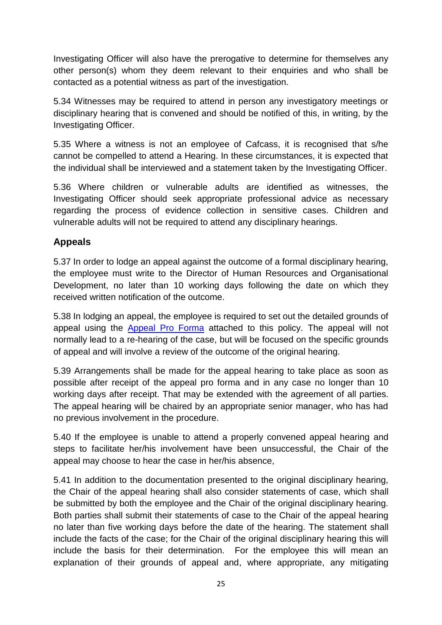Investigating Officer will also have the prerogative to determine for themselves any other person(s) whom they deem relevant to their enquiries and who shall be contacted as a potential witness as part of the investigation.

5.34 Witnesses may be required to attend in person any investigatory meetings or disciplinary hearing that is convened and should be notified of this, in writing, by the Investigating Officer.

5.35 Where a witness is not an employee of Cafcass, it is recognised that s/he cannot be compelled to attend a Hearing. In these circumstances, it is expected that the individual shall be interviewed and a statement taken by the Investigating Officer.

5.36 Where children or vulnerable adults are identified as witnesses, the Investigating Officer should seek appropriate professional advice as necessary regarding the process of evidence collection in sensitive cases. Children and vulnerable adults will not be required to attend any disciplinary hearings.

## **Appeals**

5.37 In order to lodge an appeal against the outcome of a formal disciplinary hearing, the employee must write to the Director of Human Resources and Organisational Development, no later than 10 working days following the date on which they received written notification of the outcome.

5.38 In lodging an appeal, the employee is required to set out the detailed grounds of appeal using the [Appeal Pro Forma](http://intranet4cafcass/departments/Documents/HR/Policies%20and%20Procedures/Employee%20Relations/Formal%20Appeal%20Proforma.pdf) attached to this policy. The appeal will not normally lead to a re-hearing of the case, but will be focused on the specific grounds of appeal and will involve a review of the outcome of the original hearing.

5.39 Arrangements shall be made for the appeal hearing to take place as soon as possible after receipt of the appeal pro forma and in any case no longer than 10 working days after receipt. That may be extended with the agreement of all parties. The appeal hearing will be chaired by an appropriate senior manager, who has had no previous involvement in the procedure.

5.40 If the employee is unable to attend a properly convened appeal hearing and steps to facilitate her/his involvement have been unsuccessful, the Chair of the appeal may choose to hear the case in her/his absence,

5.41 In addition to the documentation presented to the original disciplinary hearing, the Chair of the appeal hearing shall also consider statements of case, which shall be submitted by both the employee and the Chair of the original disciplinary hearing. Both parties shall submit their statements of case to the Chair of the appeal hearing no later than five working days before the date of the hearing. The statement shall include the facts of the case; for the Chair of the original disciplinary hearing this will include the basis for their determination. For the employee this will mean an explanation of their grounds of appeal and, where appropriate, any mitigating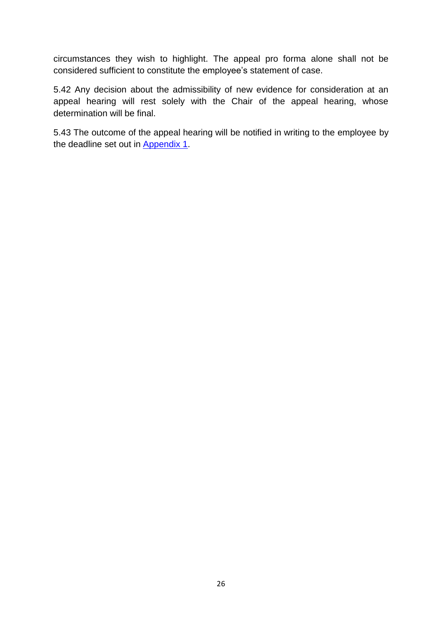circumstances they wish to highlight. The appeal pro forma alone shall not be considered sufficient to constitute the employee's statement of case.

5.42 Any decision about the admissibility of new evidence for consideration at an appeal hearing will rest solely with the Chair of the appeal hearing, whose determination will be final.

5.43 The outcome of the appeal hearing will be notified in writing to the employee by the deadline set out in [Appendix 1.](#page-26-0)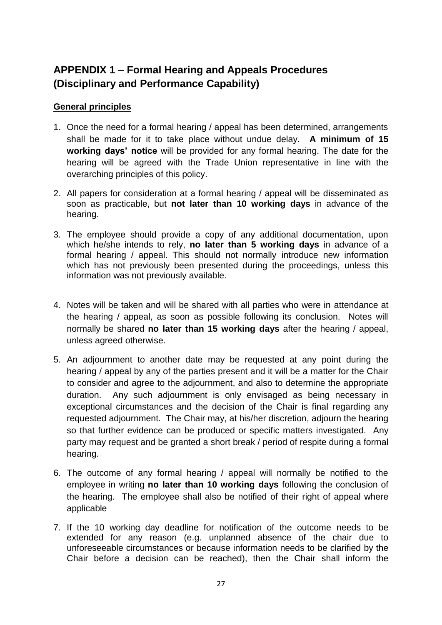# <span id="page-26-0"></span>**APPENDIX 1 – Formal Hearing and Appeals Procedures (Disciplinary and Performance Capability)**

#### **General principles**

- 1. Once the need for a formal hearing / appeal has been determined, arrangements shall be made for it to take place without undue delay. **A minimum of 15 working days' notice** will be provided for any formal hearing. The date for the hearing will be agreed with the Trade Union representative in line with the overarching principles of this policy.
- 2. All papers for consideration at a formal hearing / appeal will be disseminated as soon as practicable, but **not later than 10 working days** in advance of the hearing.
- 3. The employee should provide a copy of any additional documentation, upon which he/she intends to rely, **no later than 5 working days** in advance of a formal hearing / appeal. This should not normally introduce new information which has not previously been presented during the proceedings, unless this information was not previously available.
- 4. Notes will be taken and will be shared with all parties who were in attendance at the hearing / appeal, as soon as possible following its conclusion. Notes will normally be shared **no later than 15 working days** after the hearing / appeal, unless agreed otherwise.
- 5. An adjournment to another date may be requested at any point during the hearing / appeal by any of the parties present and it will be a matter for the Chair to consider and agree to the adjournment, and also to determine the appropriate duration. Any such adjournment is only envisaged as being necessary in exceptional circumstances and the decision of the Chair is final regarding any requested adjournment. The Chair may, at his/her discretion, adjourn the hearing so that further evidence can be produced or specific matters investigated. Any party may request and be granted a short break / period of respite during a formal hearing.
- 6. The outcome of any formal hearing / appeal will normally be notified to the employee in writing **no later than 10 working days** following the conclusion of the hearing. The employee shall also be notified of their right of appeal where applicable
- 7. If the 10 working day deadline for notification of the outcome needs to be extended for any reason (e.g. unplanned absence of the chair due to unforeseeable circumstances or because information needs to be clarified by the Chair before a decision can be reached), then the Chair shall inform the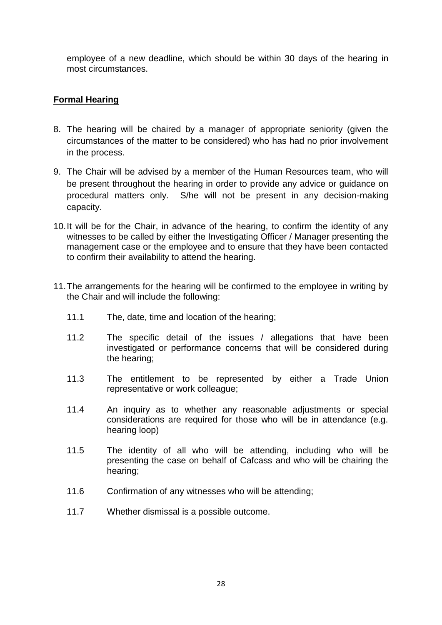employee of a new deadline, which should be within 30 days of the hearing in most circumstances.

#### **Formal Hearing**

- 8. The hearing will be chaired by a manager of appropriate seniority (given the circumstances of the matter to be considered) who has had no prior involvement in the process.
- 9. The Chair will be advised by a member of the Human Resources team, who will be present throughout the hearing in order to provide any advice or guidance on procedural matters only. S/he will not be present in any decision-making capacity.
- 10.It will be for the Chair, in advance of the hearing, to confirm the identity of any witnesses to be called by either the Investigating Officer / Manager presenting the management case or the employee and to ensure that they have been contacted to confirm their availability to attend the hearing.
- 11.The arrangements for the hearing will be confirmed to the employee in writing by the Chair and will include the following:
	- 11.1 The, date, time and location of the hearing;
	- 11.2 The specific detail of the issues / allegations that have been investigated or performance concerns that will be considered during the hearing;
	- 11.3 The entitlement to be represented by either a Trade Union representative or work colleague;
	- 11.4 An inquiry as to whether any reasonable adjustments or special considerations are required for those who will be in attendance (e.g. hearing loop)
	- 11.5 The identity of all who will be attending, including who will be presenting the case on behalf of Cafcass and who will be chairing the hearing;
	- 11.6 Confirmation of any witnesses who will be attending;
	- 11.7 Whether dismissal is a possible outcome.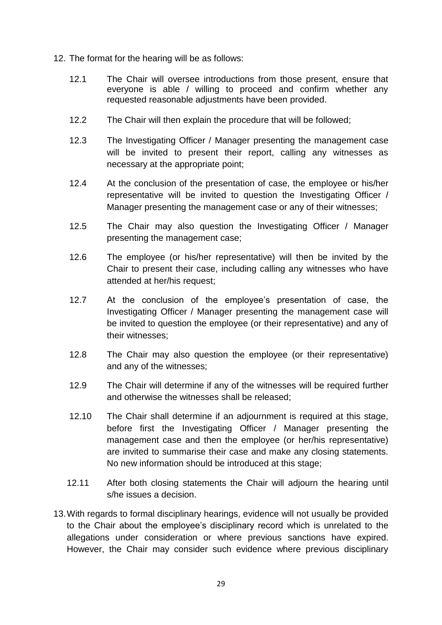- 12. The format for the hearing will be as follows:
	- 12.1 The Chair will oversee introductions from those present, ensure that everyone is able / willing to proceed and confirm whether any requested reasonable adjustments have been provided.
	- 12.2 The Chair will then explain the procedure that will be followed;
	- 12.3 The Investigating Officer / Manager presenting the management case will be invited to present their report, calling any witnesses as necessary at the appropriate point;
	- 12.4 At the conclusion of the presentation of case, the employee or his/her representative will be invited to question the Investigating Officer / Manager presenting the management case or any of their witnesses;
	- 12.5 The Chair may also question the Investigating Officer / Manager presenting the management case;
	- 12.6 The employee (or his/her representative) will then be invited by the Chair to present their case, including calling any witnesses who have attended at her/his request;
	- 12.7 At the conclusion of the employee's presentation of case, the Investigating Officer / Manager presenting the management case will be invited to question the employee (or their representative) and any of their witnesses;
	- 12.8 The Chair may also question the employee (or their representative) and any of the witnesses;
	- 12.9 The Chair will determine if any of the witnesses will be required further and otherwise the witnesses shall be released;
	- 12.10 The Chair shall determine if an adjournment is required at this stage, before first the Investigating Officer / Manager presenting the management case and then the employee (or her/his representative) are invited to summarise their case and make any closing statements. No new information should be introduced at this stage;
	- 12.11 After both closing statements the Chair will adjourn the hearing until s/he issues a decision.
- 13.With regards to formal disciplinary hearings, evidence will not usually be provided to the Chair about the employee's disciplinary record which is unrelated to the allegations under consideration or where previous sanctions have expired. However, the Chair may consider such evidence where previous disciplinary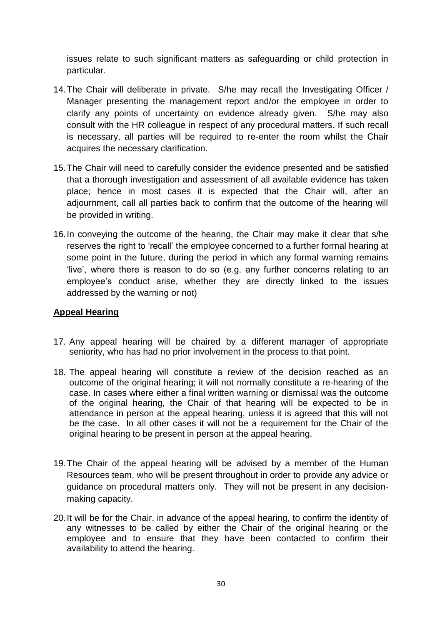issues relate to such significant matters as safeguarding or child protection in particular.

- 14.The Chair will deliberate in private. S/he may recall the Investigating Officer / Manager presenting the management report and/or the employee in order to clarify any points of uncertainty on evidence already given. S/he may also consult with the HR colleague in respect of any procedural matters. If such recall is necessary, all parties will be required to re-enter the room whilst the Chair acquires the necessary clarification.
- 15.The Chair will need to carefully consider the evidence presented and be satisfied that a thorough investigation and assessment of all available evidence has taken place; hence in most cases it is expected that the Chair will, after an adjournment, call all parties back to confirm that the outcome of the hearing will be provided in writing.
- 16.In conveying the outcome of the hearing, the Chair may make it clear that s/he reserves the right to 'recall' the employee concerned to a further formal hearing at some point in the future, during the period in which any formal warning remains 'live', where there is reason to do so (e.g. any further concerns relating to an employee's conduct arise, whether they are directly linked to the issues addressed by the warning or not)

#### **Appeal Hearing**

- 17. Any appeal hearing will be chaired by a different manager of appropriate seniority, who has had no prior involvement in the process to that point.
- 18. The appeal hearing will constitute a review of the decision reached as an outcome of the original hearing; it will not normally constitute a re-hearing of the case. In cases where either a final written warning or dismissal was the outcome of the original hearing, the Chair of that hearing will be expected to be in attendance in person at the appeal hearing, unless it is agreed that this will not be the case. In all other cases it will not be a requirement for the Chair of the original hearing to be present in person at the appeal hearing.
- 19.The Chair of the appeal hearing will be advised by a member of the Human Resources team, who will be present throughout in order to provide any advice or guidance on procedural matters only. They will not be present in any decisionmaking capacity.
- 20.It will be for the Chair, in advance of the appeal hearing, to confirm the identity of any witnesses to be called by either the Chair of the original hearing or the employee and to ensure that they have been contacted to confirm their availability to attend the hearing.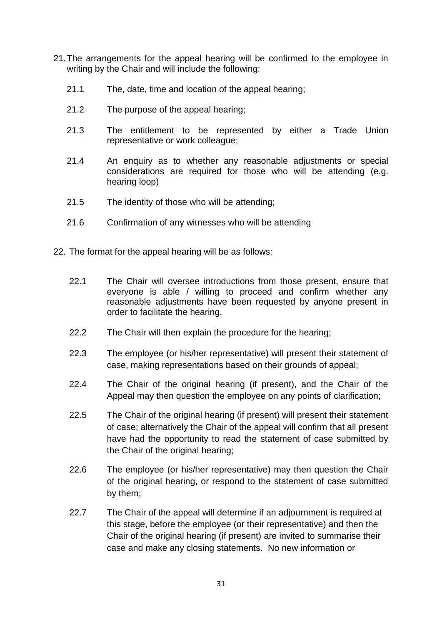- 21.The arrangements for the appeal hearing will be confirmed to the employee in writing by the Chair and will include the following:
	- 21.1 The, date, time and location of the appeal hearing;
	- 21.2 The purpose of the appeal hearing;
	- 21.3 The entitlement to be represented by either a Trade Union representative or work colleague;
	- 21.4 An enquiry as to whether any reasonable adjustments or special considerations are required for those who will be attending (e.g. hearing loop)
	- 21.5 The identity of those who will be attending;
	- 21.6 Confirmation of any witnesses who will be attending
- 22. The format for the appeal hearing will be as follows:
	- 22.1 The Chair will oversee introductions from those present, ensure that everyone is able / willing to proceed and confirm whether any reasonable adjustments have been requested by anyone present in order to facilitate the hearing.
	- 22.2 The Chair will then explain the procedure for the hearing;
	- 22.3 The employee (or his/her representative) will present their statement of case, making representations based on their grounds of appeal;
	- 22.4 The Chair of the original hearing (if present), and the Chair of the Appeal may then question the employee on any points of clarification;
	- 22.5 The Chair of the original hearing (if present) will present their statement of case; alternatively the Chair of the appeal will confirm that all present have had the opportunity to read the statement of case submitted by the Chair of the original hearing;
	- 22.6 The employee (or his/her representative) may then question the Chair of the original hearing, or respond to the statement of case submitted by them;
	- 22.7 The Chair of the appeal will determine if an adjournment is required at this stage, before the employee (or their representative) and then the Chair of the original hearing (if present) are invited to summarise their case and make any closing statements. No new information or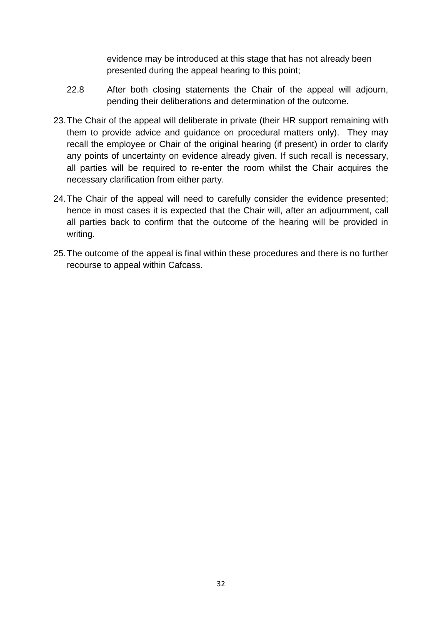evidence may be introduced at this stage that has not already been presented during the appeal hearing to this point;

- 22.8 After both closing statements the Chair of the appeal will adjourn, pending their deliberations and determination of the outcome.
- 23.The Chair of the appeal will deliberate in private (their HR support remaining with them to provide advice and guidance on procedural matters only). They may recall the employee or Chair of the original hearing (if present) in order to clarify any points of uncertainty on evidence already given. If such recall is necessary, all parties will be required to re-enter the room whilst the Chair acquires the necessary clarification from either party.
- 24.The Chair of the appeal will need to carefully consider the evidence presented; hence in most cases it is expected that the Chair will, after an adjournment, call all parties back to confirm that the outcome of the hearing will be provided in writing.
- 25.The outcome of the appeal is final within these procedures and there is no further recourse to appeal within Cafcass.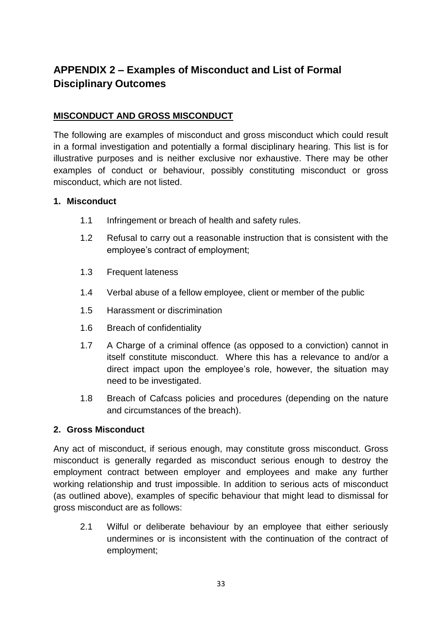# <span id="page-32-0"></span>**APPENDIX 2 – Examples of Misconduct and List of Formal Disciplinary Outcomes**

#### **MISCONDUCT AND GROSS MISCONDUCT**

The following are examples of misconduct and gross misconduct which could result in a formal investigation and potentially a formal disciplinary hearing. This list is for illustrative purposes and is neither exclusive nor exhaustive. There may be other examples of conduct or behaviour, possibly constituting misconduct or gross misconduct, which are not listed.

#### **1. Misconduct**

- 1.1 Infringement or breach of health and safety rules.
- 1.2 Refusal to carry out a reasonable instruction that is consistent with the employee's contract of employment;
- 1.3 Frequent lateness
- 1.4 Verbal abuse of a fellow employee, client or member of the public
- 1.5 Harassment or discrimination
- 1.6 Breach of confidentiality
- 1.7 A Charge of a criminal offence (as opposed to a conviction) cannot in itself constitute misconduct. Where this has a relevance to and/or a direct impact upon the employee's role, however, the situation may need to be investigated.
- 1.8 Breach of Cafcass policies and procedures (depending on the nature and circumstances of the breach).

#### **2. Gross Misconduct**

Any act of misconduct, if serious enough, may constitute gross misconduct. Gross misconduct is generally regarded as misconduct serious enough to destroy the employment contract between employer and employees and make any further working relationship and trust impossible. In addition to serious acts of misconduct (as outlined above), examples of specific behaviour that might lead to dismissal for gross misconduct are as follows:

2.1 Wilful or deliberate behaviour by an employee that either seriously undermines or is inconsistent with the continuation of the contract of employment;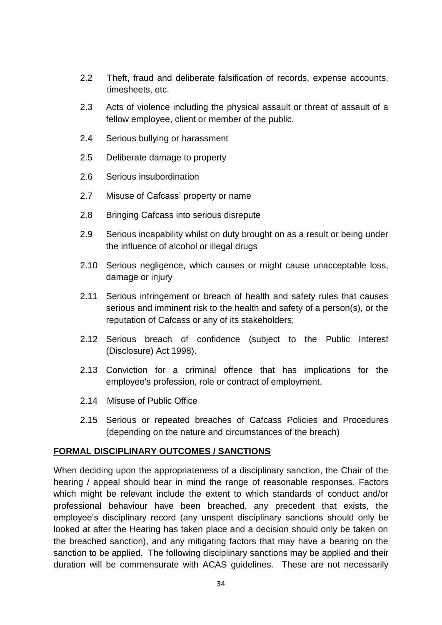- 2.2 Theft, fraud and deliberate falsification of records, expense accounts, timesheets, etc.
- 2.3 Acts of violence including the physical assault or threat of assault of a fellow employee, client or member of the public.
- 2.4 Serious bullying or harassment
- 2.5 Deliberate damage to property
- 2.6 Serious insubordination
- 2.7 Misuse of Cafcass' property or name
- 2.8 Bringing Cafcass into serious disrepute
- 2.9 Serious incapability whilst on duty brought on as a result or being under the influence of alcohol or illegal drugs
- 2.10 Serious negligence, which causes or might cause unacceptable loss, damage or injury
- 2.11 Serious infringement or breach of health and safety rules that causes serious and imminent risk to the health and safety of a person(s), or the reputation of Cafcass or any of its stakeholders;
- 2.12 Serious breach of confidence (subject to the Public Interest (Disclosure) Act 1998).
- 2.13 Conviction for a criminal offence that has implications for the employee's profession, role or contract of employment.
- 2.14 Misuse of Public Office
- 2.15 Serious or repeated breaches of Cafcass Policies and Procedures (depending on the nature and circumstances of the breach)

#### **FORMAL DISCIPLINARY OUTCOMES / SANCTIONS**

When deciding upon the appropriateness of a disciplinary sanction, the Chair of the hearing / appeal should bear in mind the range of reasonable responses. Factors which might be relevant include the extent to which standards of conduct and/or professional behaviour have been breached, any precedent that exists, the employee's disciplinary record (any unspent disciplinary sanctions should only be looked at after the Hearing has taken place and a decision should only be taken on the breached sanction), and any mitigating factors that may have a bearing on the sanction to be applied. The following disciplinary sanctions may be applied and their duration will be commensurate with ACAS guidelines. These are not necessarily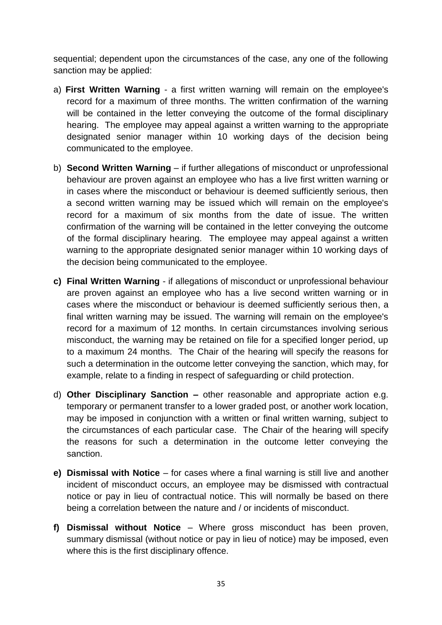sequential; dependent upon the circumstances of the case, any one of the following sanction may be applied:

- a) **First Written Warning** a first written warning will remain on the employee's record for a maximum of three months. The written confirmation of the warning will be contained in the letter conveying the outcome of the formal disciplinary hearing. The employee may appeal against a written warning to the appropriate designated senior manager within 10 working days of the decision being communicated to the employee.
- b) **Second Written Warning** if further allegations of misconduct or unprofessional behaviour are proven against an employee who has a live first written warning or in cases where the misconduct or behaviour is deemed sufficiently serious, then a second written warning may be issued which will remain on the employee's record for a maximum of six months from the date of issue. The written confirmation of the warning will be contained in the letter conveying the outcome of the formal disciplinary hearing. The employee may appeal against a written warning to the appropriate designated senior manager within 10 working days of the decision being communicated to the employee.
- **c) Final Written Warning**  if allegations of misconduct or unprofessional behaviour are proven against an employee who has a live second written warning or in cases where the misconduct or behaviour is deemed sufficiently serious then, a final written warning may be issued. The warning will remain on the employee's record for a maximum of 12 months. In certain circumstances involving serious misconduct, the warning may be retained on file for a specified longer period, up to a maximum 24 months. The Chair of the hearing will specify the reasons for such a determination in the outcome letter conveying the sanction, which may, for example, relate to a finding in respect of safeguarding or child protection.
- d) **Other Disciplinary Sanction –** other reasonable and appropriate action e.g. temporary or permanent transfer to a lower graded post, or another work location, may be imposed in conjunction with a written or final written warning, subject to the circumstances of each particular case. The Chair of the hearing will specify the reasons for such a determination in the outcome letter conveying the sanction.
- **e) Dismissal with Notice**  for cases where a final warning is still live and another incident of misconduct occurs, an employee may be dismissed with contractual notice or pay in lieu of contractual notice. This will normally be based on there being a correlation between the nature and / or incidents of misconduct.
- **f) Dismissal without Notice** Where gross misconduct has been proven, summary dismissal (without notice or pay in lieu of notice) may be imposed, even where this is the first disciplinary offence.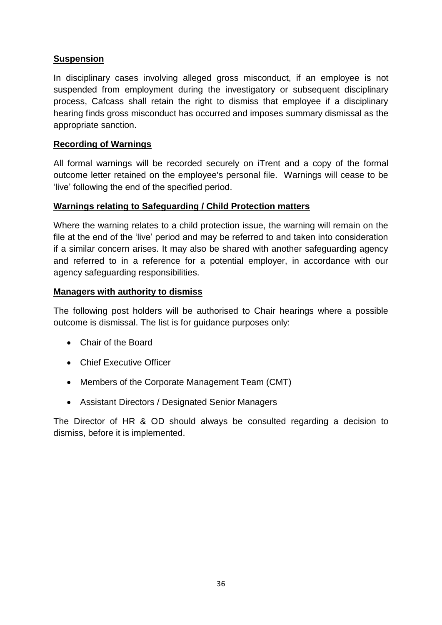#### **Suspension**

In disciplinary cases involving alleged gross misconduct, if an employee is not suspended from employment during the investigatory or subsequent disciplinary process, Cafcass shall retain the right to dismiss that employee if a disciplinary hearing finds gross misconduct has occurred and imposes summary dismissal as the appropriate sanction.

#### **Recording of Warnings**

All formal warnings will be recorded securely on iTrent and a copy of the formal outcome letter retained on the employee's personal file. Warnings will cease to be 'live' following the end of the specified period.

#### **Warnings relating to Safeguarding / Child Protection matters**

Where the warning relates to a child protection issue, the warning will remain on the file at the end of the 'live' period and may be referred to and taken into consideration if a similar concern arises. It may also be shared with another safeguarding agency and referred to in a reference for a potential employer, in accordance with our agency safeguarding responsibilities.

#### **Managers with authority to dismiss**

The following post holders will be authorised to Chair hearings where a possible outcome is dismissal. The list is for guidance purposes only:

- Chair of the Board
- Chief Executive Officer
- Members of the Corporate Management Team (CMT)
- Assistant Directors / Designated Senior Managers

The Director of HR & OD should always be consulted regarding a decision to dismiss, before it is implemented.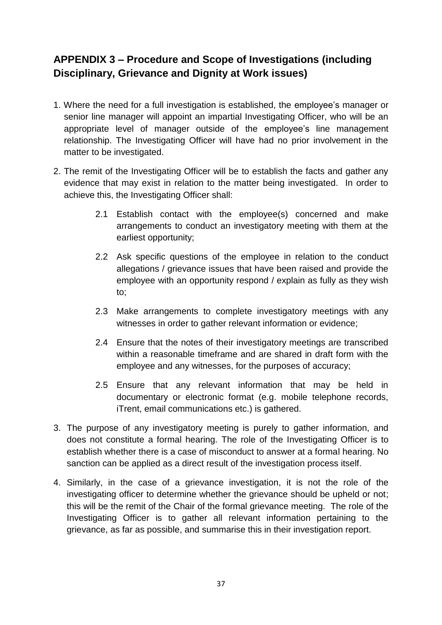# <span id="page-36-0"></span>**APPENDIX 3 – Procedure and Scope of Investigations (including Disciplinary, Grievance and Dignity at Work issues)**

- 1. Where the need for a full investigation is established, the employee's manager or senior line manager will appoint an impartial Investigating Officer, who will be an appropriate level of manager outside of the employee's line management relationship. The Investigating Officer will have had no prior involvement in the matter to be investigated.
- 2. The remit of the Investigating Officer will be to establish the facts and gather any evidence that may exist in relation to the matter being investigated. In order to achieve this, the Investigating Officer shall:
	- 2.1 Establish contact with the employee(s) concerned and make arrangements to conduct an investigatory meeting with them at the earliest opportunity;
	- 2.2 Ask specific questions of the employee in relation to the conduct allegations / grievance issues that have been raised and provide the employee with an opportunity respond / explain as fully as they wish to;
	- 2.3 Make arrangements to complete investigatory meetings with any witnesses in order to gather relevant information or evidence:
	- 2.4 Ensure that the notes of their investigatory meetings are transcribed within a reasonable timeframe and are shared in draft form with the employee and any witnesses, for the purposes of accuracy;
	- 2.5 Ensure that any relevant information that may be held in documentary or electronic format (e.g. mobile telephone records, iTrent, email communications etc.) is gathered.
- 3. The purpose of any investigatory meeting is purely to gather information, and does not constitute a formal hearing. The role of the Investigating Officer is to establish whether there is a case of misconduct to answer at a formal hearing. No sanction can be applied as a direct result of the investigation process itself.
- 4. Similarly, in the case of a grievance investigation, it is not the role of the investigating officer to determine whether the grievance should be upheld or not; this will be the remit of the Chair of the formal grievance meeting. The role of the Investigating Officer is to gather all relevant information pertaining to the grievance, as far as possible, and summarise this in their investigation report.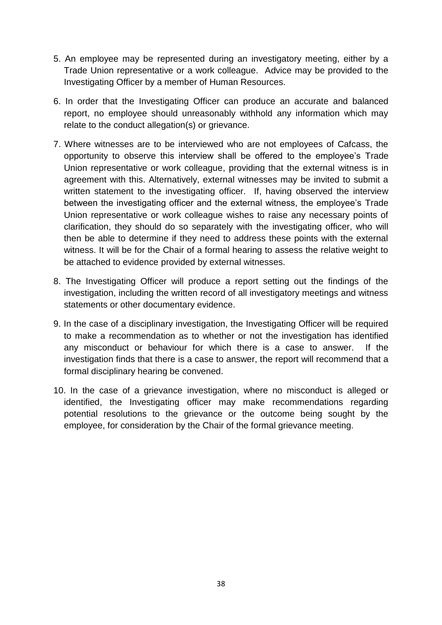- 5. An employee may be represented during an investigatory meeting, either by a Trade Union representative or a work colleague. Advice may be provided to the Investigating Officer by a member of Human Resources.
- 6. In order that the Investigating Officer can produce an accurate and balanced report, no employee should unreasonably withhold any information which may relate to the conduct allegation(s) or grievance.
- 7. Where witnesses are to be interviewed who are not employees of Cafcass, the opportunity to observe this interview shall be offered to the employee's Trade Union representative or work colleague, providing that the external witness is in agreement with this. Alternatively, external witnesses may be invited to submit a written statement to the investigating officer. If, having observed the interview between the investigating officer and the external witness, the employee's Trade Union representative or work colleague wishes to raise any necessary points of clarification, they should do so separately with the investigating officer, who will then be able to determine if they need to address these points with the external witness. It will be for the Chair of a formal hearing to assess the relative weight to be attached to evidence provided by external witnesses.
- 8. The Investigating Officer will produce a report setting out the findings of the investigation, including the written record of all investigatory meetings and witness statements or other documentary evidence.
- 9. In the case of a disciplinary investigation, the Investigating Officer will be required to make a recommendation as to whether or not the investigation has identified any misconduct or behaviour for which there is a case to answer. If the investigation finds that there is a case to answer, the report will recommend that a formal disciplinary hearing be convened.
- 10. In the case of a grievance investigation, where no misconduct is alleged or identified, the Investigating officer may make recommendations regarding potential resolutions to the grievance or the outcome being sought by the employee, for consideration by the Chair of the formal grievance meeting.